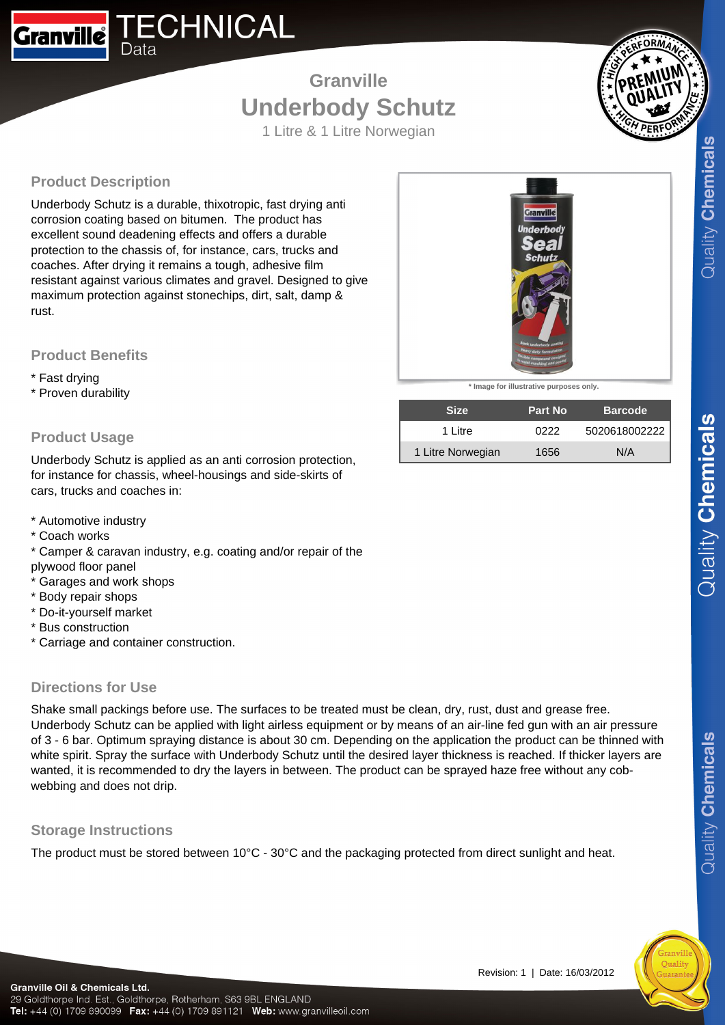

## **Granville Underbody Schutz** 1 Litre & 1 Litre Norwegian



**Product Description**

Underbody Schutz is a durable, thixotropic, fast drying anti corrosion coating based on bitumen. The product has excellent sound deadening effects and offers a durable protection to the chassis of, for instance, cars, trucks and coaches. After drying it remains a tough, adhesive film resistant against various climates and gravel. Designed to give maximum protection against stonechips, dirt, salt, damp & rust.

#### **Product Benefits**

\* Fast drying

\* Proven durability

### **Product Usage**

Underbody Schutz is applied as an anti corrosion protection, for instance for chassis, wheel-housings and side-skirts of cars, trucks and coaches in:

- \* Automotive industry
- \* Coach works
- \* Camper & caravan industry, e.g. coating and/or repair of the
- plywood floor panel
- \* Garages and work shops
- \* Body repair shops
- \* Do-it-yourself market
- \* Bus construction
- \* Carriage and container construction.

### **Directions for Use**

Shake small packings before use. The surfaces to be treated must be clean, dry, rust, dust and grease free. Underbody Schutz can be applied with light airless equipment or by means of an air-line fed gun with an air pressure of 3 - 6 bar. Optimum spraying distance is about 30 cm. Depending on the application the product can be thinned with white spirit. Spray the surface with Underbody Schutz until the desired layer thickness is reached. If thicker layers are wanted, it is recommended to dry the layers in between. The product can be sprayed haze free without any cobwebbing and does not drip.

### **Storage Instructions**

The product must be stored between 10°C - 30°C and the packaging protected from direct sunlight and heat.



**\* Image for illustrative purposes only.**

| <b>Size</b>       | <b>Part No</b> | <b>Barcode</b> |
|-------------------|----------------|----------------|
| 1 Litre           | 0222           | 5020618002222  |
| 1 Litre Norwegian | 1656           | N/A            |

 $Quality$  Chemicals